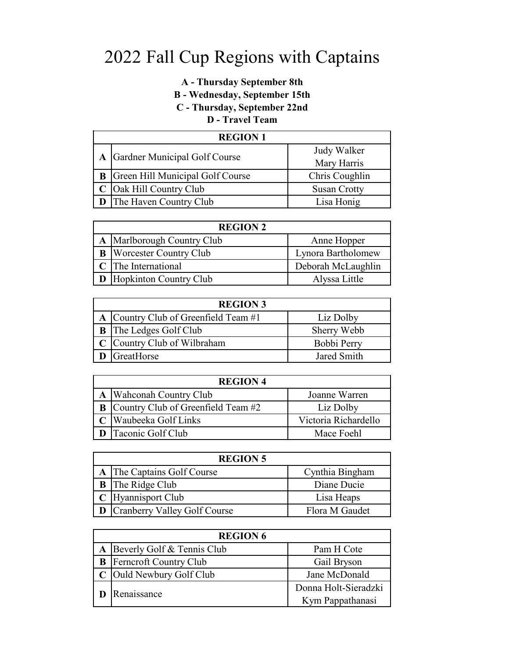## **A - Thursday September 8th**

**B - Wednesday, September 15th** 

**C - Thursday, September 22nd** 

### **D - Travel Team**

| <b>REGION 1</b> |                                           |                     |
|-----------------|-------------------------------------------|---------------------|
|                 | A Gardner Municipal Golf Course           | Judy Walker         |
|                 |                                           | Mary Harris         |
|                 | <b>B</b> Green Hill Municipal Golf Course | Chris Coughlin      |
|                 | C Oak Hill Country Club                   | <b>Susan Crotty</b> |
|                 | <b>D</b> The Haven Country Club           | Lisa Honig          |

| <b>REGION 2</b>                 |                    |
|---------------------------------|--------------------|
| A Marlborough Country Club      | Anne Hopper        |
| <b>B</b> Worcester Country Club | Lynora Bartholomew |
| C The International             | Deborah McLaughlin |
| <b>D</b> Hopkinton Country Club | Alyssa Little      |

| <b>REGION 3</b> |                                      |             |
|-----------------|--------------------------------------|-------------|
|                 | A Country Club of Greenfield Team #1 | Liz Dolby   |
|                 | <b>B</b> The Ledges Golf Club        | Sherry Webb |
|                 | C Country Club of Wilbraham          | Bobbi Perry |
|                 | GreatHorse                           | Jared Smith |

| <b>REGION 4</b>                             |                      |  |
|---------------------------------------------|----------------------|--|
| A Wahconah Country Club                     | Joanne Warren        |  |
| <b>B</b> Country Club of Greenfield Team #2 | Liz Dolby            |  |
| C Waubeeka Golf Links                       | Victoria Richardello |  |
| <b>D</b> Taconic Golf Club                  | Mace Foehl           |  |

| <b>REGION 5</b>                |                 |
|--------------------------------|-----------------|
| A The Captains Golf Course     | Cynthia Bingham |
| <b>B</b> The Ridge Club        | Diane Ducie     |
| C Hyannisport Club             | Lisa Heaps      |
| D Cranberry Valley Golf Course | Flora M Gaudet  |

| <b>REGION 6</b> |                                 |                      |
|-----------------|---------------------------------|----------------------|
|                 | A Beverly Golf & Tennis Club    | Pam H Cote           |
|                 | <b>B</b> Ferncroft Country Club | Gail Bryson          |
|                 | C Ould Newbury Golf Club        | Jane McDonald        |
| Renaissance     |                                 | Donna Holt-Sieradzki |
|                 |                                 | Kym Pappathanasi     |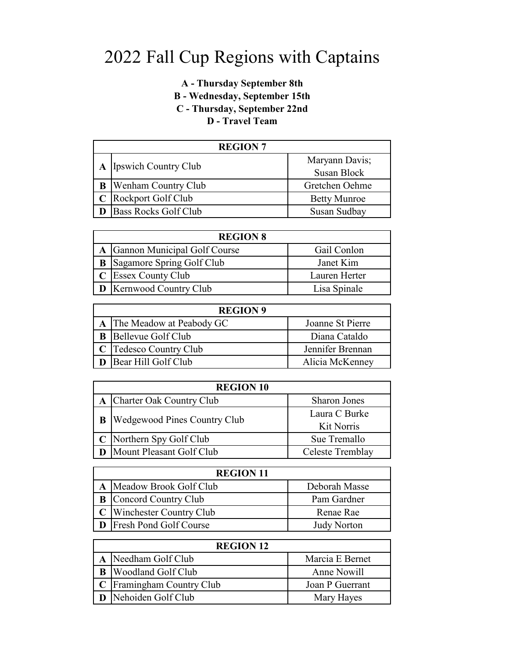## **A - Thursday September 8th B - Wednesday, September 15th C - Thursday, September 22nd D - Travel Team**

| <b>REGION 7</b> |                              |                     |
|-----------------|------------------------------|---------------------|
|                 | A Ipswich Country Club       | Maryann Davis;      |
|                 |                              | Susan Block         |
|                 | <b>B</b> Wenham Country Club | Gretchen Oehme      |
|                 | C Rockport Golf Club         | <b>Betty Munroe</b> |
|                 | <b>Bass Rocks Golf Club</b>  | Susan Sudbay        |

| <b>REGION 8</b> |                                |               |
|-----------------|--------------------------------|---------------|
|                 | A Gannon Municipal Golf Course | Gail Conlon   |
|                 | Sagamore Spring Golf Club      | Janet Kim     |
|                 | C Essex County Club            | Lauren Herter |
|                 | <b>D</b> Kernwood Country Club | Lisa Spinale  |

| <b>REGION 9</b> |                              |                  |
|-----------------|------------------------------|------------------|
|                 | A The Meadow at Peabody GC   | Joanne St Pierre |
|                 | <b>B</b> Bellevue Golf Club  | Diana Cataldo    |
|                 | C Tedesco Country Club       | Jennifer Brennan |
|                 | <b>D</b> Bear Hill Golf Club | Alicia McKenney  |

| <b>REGION 10</b>                      |                             |  |
|---------------------------------------|-----------------------------|--|
| A Charter Oak Country Club            | <b>Sharon Jones</b>         |  |
| <b>B</b> Wedgewood Pines Country Club | Laura C Burke<br>Kit Norris |  |
| C Northern Spy Golf Club              | Sue Tremallo                |  |
| Mount Pleasant Golf Club              | Celeste Tremblay            |  |

| <b>REGION 11</b>                |                    |
|---------------------------------|--------------------|
| A Meadow Brook Golf Club        | Deborah Masse      |
| <b>B</b> Concord Country Club   | Pam Gardner        |
| C Winchester Country Club       | Renae Rae          |
| <b>D</b> Fresh Pond Golf Course | <b>Judy Norton</b> |

| <b>REGION 12</b>            |                 |
|-----------------------------|-----------------|
| A Needham Golf Club         | Marcia E Bernet |
| <b>B</b> Woodland Golf Club | Anne Nowill     |
| C Framingham Country Club   | Joan P Guerrant |
| Nehoiden Golf Club          | Mary Hayes      |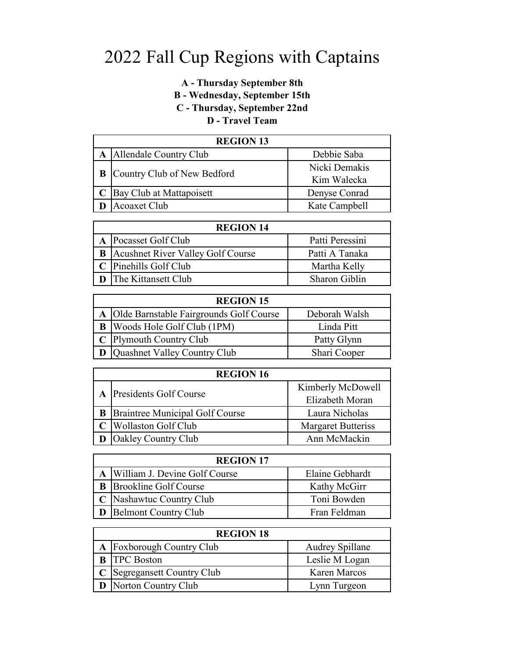### **A - Thursday September 8th B - Wednesday, September 15th C - Thursday, September 22nd D - Travel Team**

## **A** Allendale Country Club Debbie Saba **B** Country Club of New Bedford Kim Walecka **C** Bay Club at Mattapoisett Denyse Conrad **D** Acoaxet Club Kate Campbell **REGION 13**

| <b>REGION 14</b> |                                            |                 |
|------------------|--------------------------------------------|-----------------|
|                  | A Pocasset Golf Club                       | Patti Peressini |
|                  | <b>B</b> Acushnet River Valley Golf Course | Patti A Tanaka  |
|                  | C Pinehills Golf Club                      | Martha Kelly    |
|                  | <b>D</b> The Kittansett Club               | Sharon Giblin   |

| <b>REGION 15</b> |                                           |               |
|------------------|-------------------------------------------|---------------|
|                  | A Olde Barnstable Fairgrounds Golf Course | Deborah Walsh |
|                  | <b>B</b> Woods Hole Golf Club (1PM)       | Linda Pitt    |
|                  | C Plymouth Country Club                   | Patty Glynn   |
|                  | <b>D</b> Quashnet Valley Country Club     | Shari Cooper  |

| <b>REGION 16</b> |                                          |                           |
|------------------|------------------------------------------|---------------------------|
|                  | A Presidents Golf Course                 | Kimberly McDowell         |
|                  |                                          | Elizabeth Moran           |
|                  | <b>B</b> Braintree Municipal Golf Course | Laura Nicholas            |
|                  | C Wollaston Golf Club                    | <b>Margaret Butteriss</b> |
|                  | <b>Oakley Country Club</b>               | Ann McMackin              |

| <b>REGION 17</b> |                                 |                 |
|------------------|---------------------------------|-----------------|
|                  | A William J. Devine Golf Course | Elaine Gebhardt |
|                  | <b>B</b> Brookline Golf Course  | Kathy McGirr    |
|                  | C Nashawtuc Country Club        | Toni Bowden     |
|                  | <b>D</b> Belmont Country Club   | Fran Feldman    |

| <b>REGION 18</b> |                              |                        |
|------------------|------------------------------|------------------------|
|                  | A Foxborough Country Club    | <b>Audrey Spillane</b> |
|                  | <b>B</b> TPC Boston          | Leslie M Logan         |
|                  | C Segregansett Country Club  | Karen Marcos           |
|                  | <b>D</b> Norton Country Club | Lynn Turgeon           |